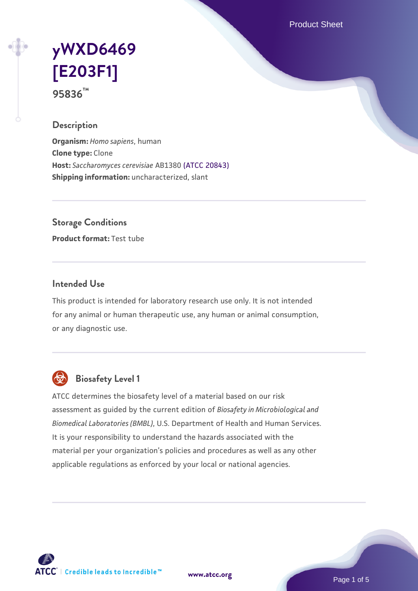Product Sheet

# **[yWXD6469](https://www.atcc.org/products/95836) [\[E203F1\]](https://www.atcc.org/products/95836) 95836™**

**Description**

**Organism:** *Homo sapiens*, human **Clone type:** Clone **Host:** *Saccharomyces cerevisiae* AB1380 [\(ATCC 20843\)](https://www.atcc.org/products/20843) **Shipping information:** uncharacterized, slant

**Storage Conditions**

**Product format:** Test tube

## **Intended Use**

This product is intended for laboratory research use only. It is not intended for any animal or human therapeutic use, any human or animal consumption, or any diagnostic use.



## **Biosafety Level 1**

ATCC determines the biosafety level of a material based on our risk assessment as guided by the current edition of *Biosafety in Microbiological and Biomedical Laboratories (BMBL)*, U.S. Department of Health and Human Services. It is your responsibility to understand the hazards associated with the material per your organization's policies and procedures as well as any other applicable regulations as enforced by your local or national agencies.



**[www.atcc.org](http://www.atcc.org)**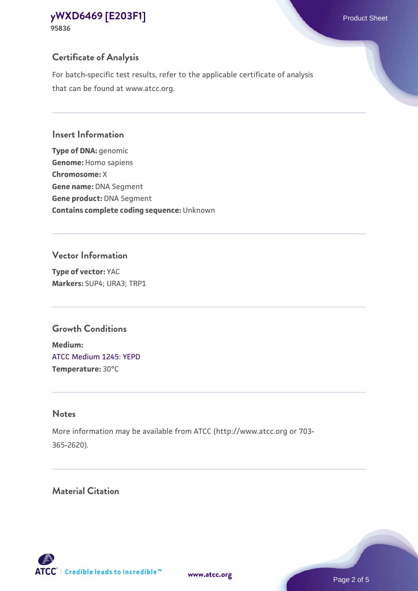## **Certificate of Analysis**

For batch-specific test results, refer to the applicable certificate of analysis that can be found at www.atcc.org.

#### **Insert Information**

**Type of DNA:** genomic **Genome:** Homo sapiens **Chromosome:** X **Gene name:** DNA Segment **Gene product:** DNA Segment **Contains complete coding sequence:** Unknown

#### **Vector Information**

**Type of vector:** YAC **Markers:** SUP4; URA3; TRP1

## **Growth Conditions**

**Medium:**  [ATCC Medium 1245: YEPD](https://www.atcc.org/-/media/product-assets/documents/microbial-media-formulations/1/2/4/5/atcc-medium-1245.pdf?rev=705ca55d1b6f490a808a965d5c072196) **Temperature:** 30°C

## **Notes**

More information may be available from ATCC (http://www.atcc.org or 703- 365-2620).

## **Material Citation**

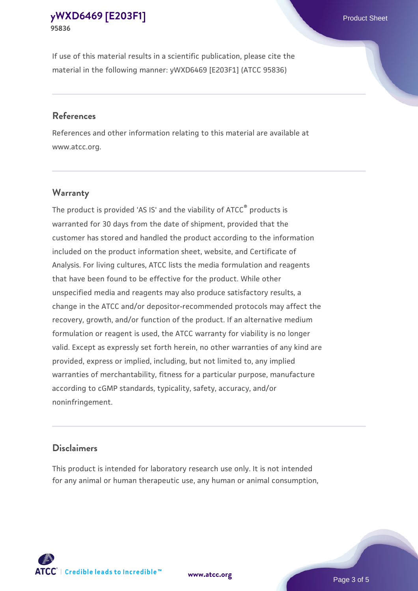If use of this material results in a scientific publication, please cite the material in the following manner: yWXD6469 [E203F1] (ATCC 95836)

#### **References**

References and other information relating to this material are available at www.atcc.org.

## **Warranty**

The product is provided 'AS IS' and the viability of  $ATCC<sup>®</sup>$  products is warranted for 30 days from the date of shipment, provided that the customer has stored and handled the product according to the information included on the product information sheet, website, and Certificate of Analysis. For living cultures, ATCC lists the media formulation and reagents that have been found to be effective for the product. While other unspecified media and reagents may also produce satisfactory results, a change in the ATCC and/or depositor-recommended protocols may affect the recovery, growth, and/or function of the product. If an alternative medium formulation or reagent is used, the ATCC warranty for viability is no longer valid. Except as expressly set forth herein, no other warranties of any kind are provided, express or implied, including, but not limited to, any implied warranties of merchantability, fitness for a particular purpose, manufacture according to cGMP standards, typicality, safety, accuracy, and/or noninfringement.

#### **Disclaimers**

This product is intended for laboratory research use only. It is not intended for any animal or human therapeutic use, any human or animal consumption,





Page 3 of 5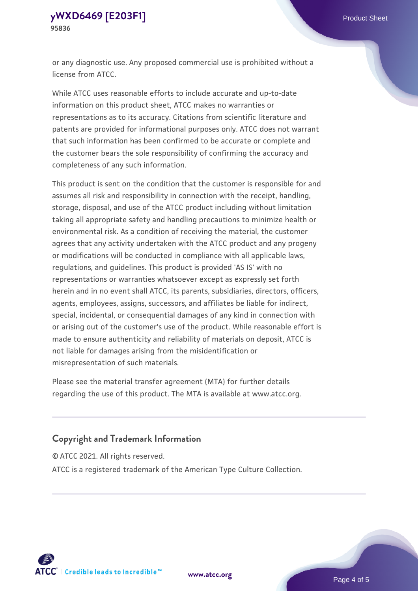or any diagnostic use. Any proposed commercial use is prohibited without a license from ATCC.

While ATCC uses reasonable efforts to include accurate and up-to-date information on this product sheet, ATCC makes no warranties or representations as to its accuracy. Citations from scientific literature and patents are provided for informational purposes only. ATCC does not warrant that such information has been confirmed to be accurate or complete and the customer bears the sole responsibility of confirming the accuracy and completeness of any such information.

This product is sent on the condition that the customer is responsible for and assumes all risk and responsibility in connection with the receipt, handling, storage, disposal, and use of the ATCC product including without limitation taking all appropriate safety and handling precautions to minimize health or environmental risk. As a condition of receiving the material, the customer agrees that any activity undertaken with the ATCC product and any progeny or modifications will be conducted in compliance with all applicable laws, regulations, and guidelines. This product is provided 'AS IS' with no representations or warranties whatsoever except as expressly set forth herein and in no event shall ATCC, its parents, subsidiaries, directors, officers, agents, employees, assigns, successors, and affiliates be liable for indirect, special, incidental, or consequential damages of any kind in connection with or arising out of the customer's use of the product. While reasonable effort is made to ensure authenticity and reliability of materials on deposit, ATCC is not liable for damages arising from the misidentification or misrepresentation of such materials.

Please see the material transfer agreement (MTA) for further details regarding the use of this product. The MTA is available at www.atcc.org.

## **Copyright and Trademark Information**

© ATCC 2021. All rights reserved.

ATCC is a registered trademark of the American Type Culture Collection.



**[www.atcc.org](http://www.atcc.org)**

Page 4 of 5